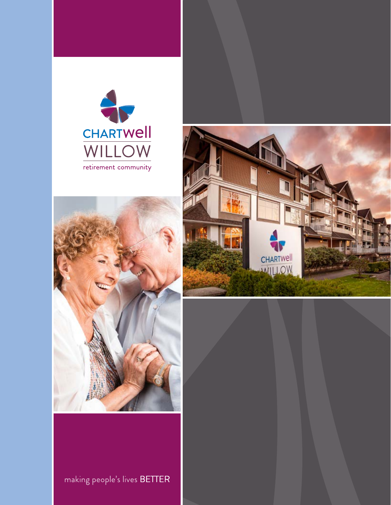





making people's lives BETTER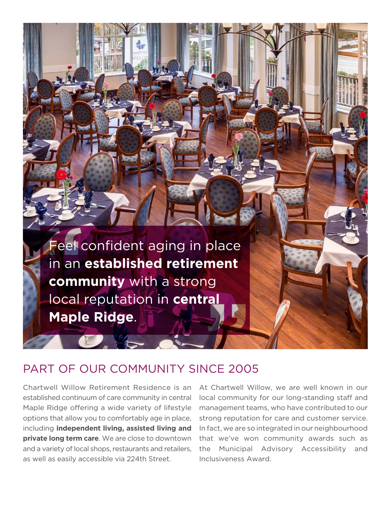Feel confident aging in place in an **established retirement community** with a strong local reputation in **central Maple Ridge**.

### PART OF OUR COMMUNITY SINCE 2005

Chartwell Willow Retirement Residence is an established continuum of care community in central Maple Ridge offering a wide variety of lifestyle options that allow you to comfortably age in place, including **independent living, assisted living and private long term care**. We are close to downtown and a variety of local shops, restaurants and retailers, as well as easily accessible via 224th Street.

At Chartwell Willow, we are well known in our local community for our long-standing staff and management teams, who have contributed to our strong reputation for care and customer service. In fact, we are so integrated in our neighbourhood that we've won community awards such as the Municipal Advisory Accessibility and Inclusiveness Award.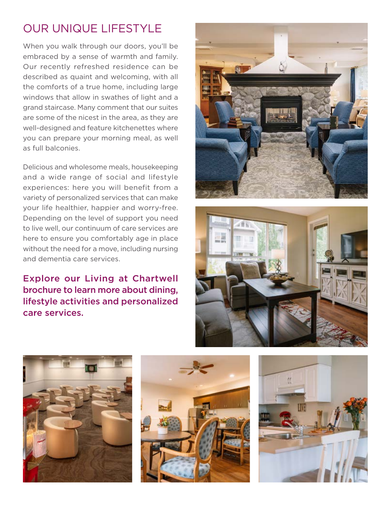# OUR UNIQUE LIFESTYLE

When you walk through our doors, you'll be embraced by a sense of warmth and family. Our recently refreshed residence can be described as quaint and welcoming, with all the comforts of a true home, including large windows that allow in swathes of light and a grand staircase. Many comment that our suites are some of the nicest in the area, as they are well-designed and feature kitchenettes where you can prepare your morning meal, as well as full balconies.

Delicious and wholesome meals, housekeeping and a wide range of social and lifestyle experiences: here you will benefit from a variety of personalized services that can make your life healthier, happier and worry-free. Depending on the level of support you need to live well, our continuum of care services are here to ensure you comfortably age in place without the need for a move, including nursing and dementia care services.

### Explore our Living at Chartwell brochure to learn more about dining, lifestyle activities and personalized care services.









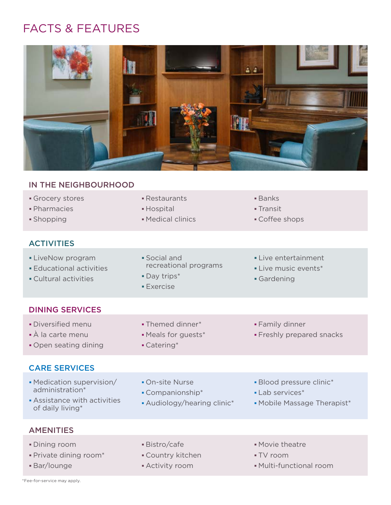## FACTS & FEATURES



#### IN THE NEIGHBOURHOOD

- Grocery stores
- Pharmacies
- Shopping

#### **ACTIVITIES**

- **LiveNow program**
- Educational activities
- Cultural activities
- Restaurants Hospital
- 

 Day trips\* Exercise

Catering\*

Medical clinics

- Banks
- Transit
- Coffee shops
- Social and recreational programs
- Live entertainment
	- Live music events\*
	- Gardening

#### DINING SERVICES

- Diversified menu
- À la carte menu
- Open seating dining

#### CARE SERVICES

- Medication supervision/ administration\*
- On-site Nurse
- 
- Assistance with activities of daily living\*
- 

 Themed dinner\* Meals for guests\*

- Companionship\*
- Audiology/hearing clinic\*
- 

Family dinner

Blood pressure clinic\*

Freshly prepared snacks

- **Lab services\***
- Mobile Massage Therapist\*

#### **AMENITIES**

- Dining room
- Private dining room\*
- Bar/lounge
- Bistro/cafe
- Country kitchen
- Activity room
- Movie theatre
- TV room
- Multi-functional room